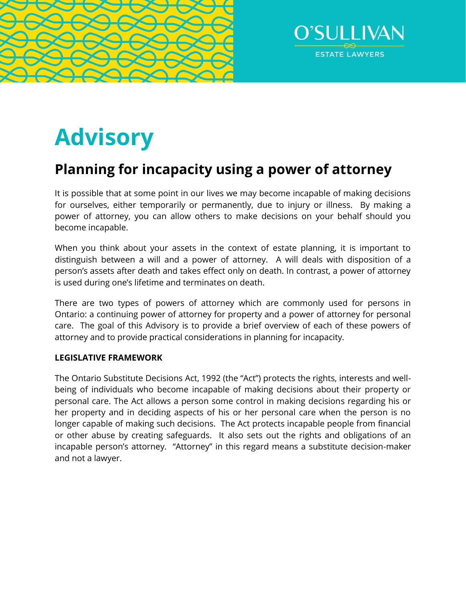



# **Advisory**

# **Planning for incapacity using a power of attorney**

It is possible that at some point in our lives we may become incapable of making decisions for ourselves, either temporarily or permanently, due to injury or illness. By making a power of attorney, you can allow others to make decisions on your behalf should you become incapable.

When you think about your assets in the context of estate planning, it is important to distinguish between a will and a power of attorney. A will deals with disposition of a person's assets after death and takes effect only on death. In contrast, a power of attorney is used during one's lifetime and terminates on death.

There are two types of powers of attorney which are commonly used for persons in Ontario: a continuing power of attorney for property and a power of attorney for personal care. The goal of this Advisory is to provide a brief overview of each of these powers of attorney and to provide practical considerations in planning for incapacity.

# **LEGISLATIVE FRAMEWORK**

The Ontario Substitute Decisions Act, 1992 (the "Act") protects the rights, interests and wellbeing of individuals who become incapable of making decisions about their property or personal care. The Act allows a person some control in making decisions regarding his or her property and in deciding aspects of his or her personal care when the person is no longer capable of making such decisions. The Act protects incapable people from financial or other abuse by creating safeguards. It also sets out the rights and obligations of an incapable person's attorney. "Attorney" in this regard means a substitute decision-maker and not a lawyer.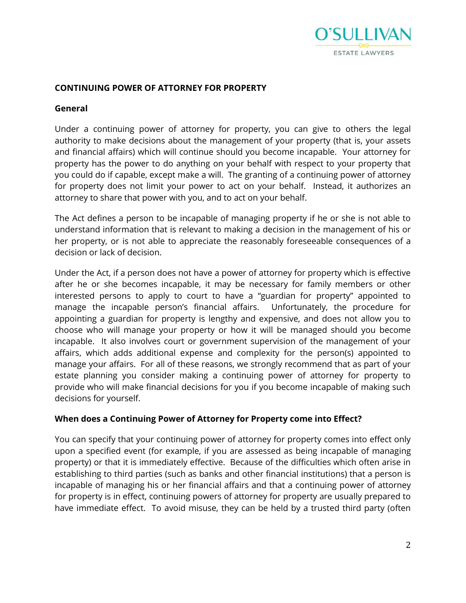

#### **CONTINUING POWER OF ATTORNEY FOR PROPERTY**

#### **General**

Under a continuing power of attorney for property, you can give to others the legal authority to make decisions about the management of your property (that is, your assets and financial affairs) which will continue should you become incapable. Your attorney for property has the power to do anything on your behalf with respect to your property that you could do if capable, except make a will. The granting of a continuing power of attorney for property does not limit your power to act on your behalf. Instead, it authorizes an attorney to share that power with you, and to act on your behalf.

The Act defines a person to be incapable of managing property if he or she is not able to understand information that is relevant to making a decision in the management of his or her property, or is not able to appreciate the reasonably foreseeable consequences of a decision or lack of decision.

Under the Act, if a person does not have a power of attorney for property which is effective after he or she becomes incapable, it may be necessary for family members or other interested persons to apply to court to have a "guardian for property" appointed to manage the incapable person's financial affairs. Unfortunately, the procedure for appointing a guardian for property is lengthy and expensive, and does not allow you to choose who will manage your property or how it will be managed should you become incapable. It also involves court or government supervision of the management of your affairs, which adds additional expense and complexity for the person(s) appointed to manage your affairs. For all of these reasons, we strongly recommend that as part of your estate planning you consider making a continuing power of attorney for property to provide who will make financial decisions for you if you become incapable of making such decisions for yourself.

#### **When does a Continuing Power of Attorney for Property come into Effect?**

You can specify that your continuing power of attorney for property comes into effect only upon a specified event (for example, if you are assessed as being incapable of managing property) or that it is immediately effective. Because of the difficulties which often arise in establishing to third parties (such as banks and other financial institutions) that a person is incapable of managing his or her financial affairs and that a continuing power of attorney for property is in effect, continuing powers of attorney for property are usually prepared to have immediate effect. To avoid misuse, they can be held by a trusted third party (often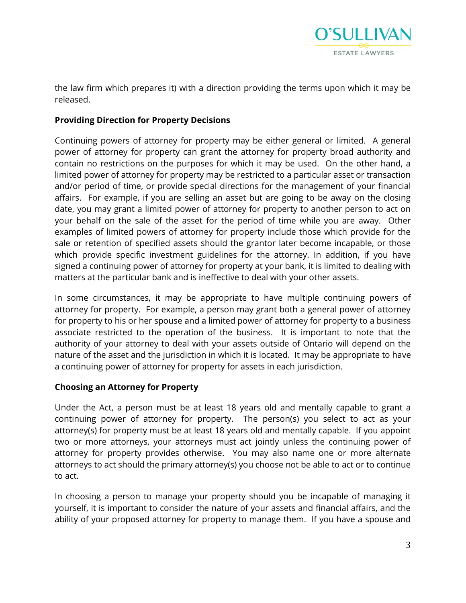

the law firm which prepares it) with a direction providing the terms upon which it may be released.

# **Providing Direction for Property Decisions**

Continuing powers of attorney for property may be either general or limited. A general power of attorney for property can grant the attorney for property broad authority and contain no restrictions on the purposes for which it may be used. On the other hand, a limited power of attorney for property may be restricted to a particular asset or transaction and/or period of time, or provide special directions for the management of your financial affairs. For example, if you are selling an asset but are going to be away on the closing date, you may grant a limited power of attorney for property to another person to act on your behalf on the sale of the asset for the period of time while you are away. Other examples of limited powers of attorney for property include those which provide for the sale or retention of specified assets should the grantor later become incapable, or those which provide specific investment guidelines for the attorney. In addition, if you have signed a continuing power of attorney for property at your bank, it is limited to dealing with matters at the particular bank and is ineffective to deal with your other assets.

In some circumstances, it may be appropriate to have multiple continuing powers of attorney for property. For example, a person may grant both a general power of attorney for property to his or her spouse and a limited power of attorney for property to a business associate restricted to the operation of the business. It is important to note that the authority of your attorney to deal with your assets outside of Ontario will depend on the nature of the asset and the jurisdiction in which it is located. It may be appropriate to have a continuing power of attorney for property for assets in each jurisdiction.

# **Choosing an Attorney for Property**

Under the Act, a person must be at least 18 years old and mentally capable to grant a continuing power of attorney for property. The person(s) you select to act as your attorney(s) for property must be at least 18 years old and mentally capable. If you appoint two or more attorneys, your attorneys must act jointly unless the continuing power of attorney for property provides otherwise. You may also name one or more alternate attorneys to act should the primary attorney(s) you choose not be able to act or to continue to act.

In choosing a person to manage your property should you be incapable of managing it yourself, it is important to consider the nature of your assets and financial affairs, and the ability of your proposed attorney for property to manage them. If you have a spouse and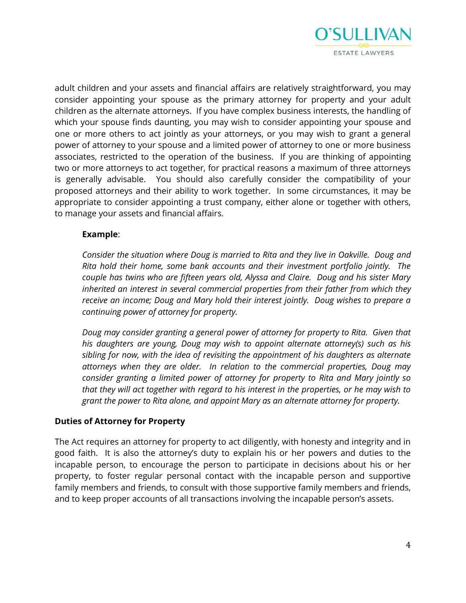

adult children and your assets and financial affairs are relatively straightforward, you may consider appointing your spouse as the primary attorney for property and your adult children as the alternate attorneys. If you have complex business interests, the handling of which your spouse finds daunting, you may wish to consider appointing your spouse and one or more others to act jointly as your attorneys, or you may wish to grant a general power of attorney to your spouse and a limited power of attorney to one or more business associates, restricted to the operation of the business. If you are thinking of appointing two or more attorneys to act together, for practical reasons a maximum of three attorneys is generally advisable. You should also carefully consider the compatibility of your proposed attorneys and their ability to work together. In some circumstances, it may be appropriate to consider appointing a trust company, either alone or together with others, to manage your assets and financial affairs.

#### **Example**:

*Consider the situation where Doug is married to Rita and they live in Oakville. Doug and Rita hold their home, some bank accounts and their investment portfolio jointly. The couple has twins who are fifteen years old, Alyssa and Claire. Doug and his sister Mary inherited an interest in several commercial properties from their father from which they receive an income; Doug and Mary hold their interest jointly. Doug wishes to prepare a continuing power of attorney for property.*

*Doug may consider granting a general power of attorney for property to Rita. Given that his daughters are young, Doug may wish to appoint alternate attorney(s) such as his sibling for now, with the idea of revisiting the appointment of his daughters as alternate attorneys when they are older. In relation to the commercial properties, Doug may consider granting a limited power of attorney for property to Rita and Mary jointly so that they will act together with regard to his interest in the properties, or he may wish to grant the power to Rita alone, and appoint Mary as an alternate attorney for property.* 

# **Duties of Attorney for Property**

The Act requires an attorney for property to act diligently, with honesty and integrity and in good faith. It is also the attorney's duty to explain his or her powers and duties to the incapable person, to encourage the person to participate in decisions about his or her property, to foster regular personal contact with the incapable person and supportive family members and friends, to consult with those supportive family members and friends, and to keep proper accounts of all transactions involving the incapable person's assets.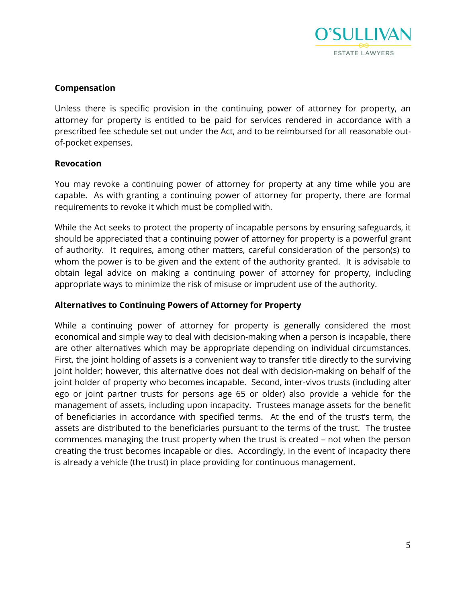

# **Compensation**

Unless there is specific provision in the continuing power of attorney for property, an attorney for property is entitled to be paid for services rendered in accordance with a prescribed fee schedule set out under the Act, and to be reimbursed for all reasonable outof-pocket expenses.

#### **Revocation**

You may revoke a continuing power of attorney for property at any time while you are capable. As with granting a continuing power of attorney for property, there are formal requirements to revoke it which must be complied with.

While the Act seeks to protect the property of incapable persons by ensuring safeguards, it should be appreciated that a continuing power of attorney for property is a powerful grant of authority. It requires, among other matters, careful consideration of the person(s) to whom the power is to be given and the extent of the authority granted. It is advisable to obtain legal advice on making a continuing power of attorney for property, including appropriate ways to minimize the risk of misuse or imprudent use of the authority.

#### **Alternatives to Continuing Powers of Attorney for Property**

While a continuing power of attorney for property is generally considered the most economical and simple way to deal with decision-making when a person is incapable, there are other alternatives which may be appropriate depending on individual circumstances. First, the joint holding of assets is a convenient way to transfer title directly to the surviving joint holder; however, this alternative does not deal with decision-making on behalf of the joint holder of property who becomes incapable. Second, inter-vivos trusts (including alter ego or joint partner trusts for persons age 65 or older) also provide a vehicle for the management of assets, including upon incapacity. Trustees manage assets for the benefit of beneficiaries in accordance with specified terms. At the end of the trust's term, the assets are distributed to the beneficiaries pursuant to the terms of the trust. The trustee commences managing the trust property when the trust is created – not when the person creating the trust becomes incapable or dies. Accordingly, in the event of incapacity there is already a vehicle (the trust) in place providing for continuous management.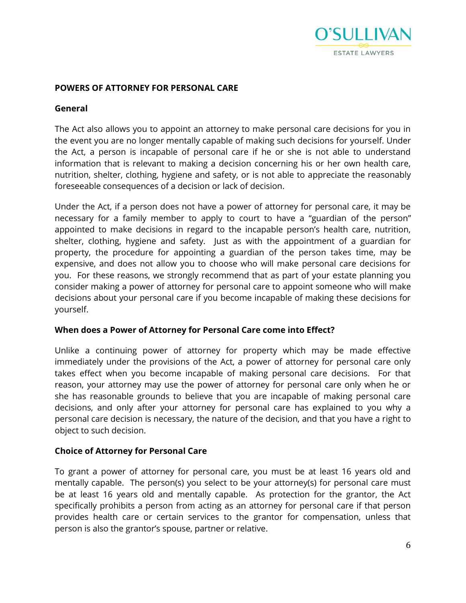

#### **POWERS OF ATTORNEY FOR PERSONAL CARE**

#### **General**

The Act also allows you to appoint an attorney to make personal care decisions for you in the event you are no longer mentally capable of making such decisions for yourself. Under the Act, a person is incapable of personal care if he or she is not able to understand information that is relevant to making a decision concerning his or her own health care, nutrition, shelter, clothing, hygiene and safety, or is not able to appreciate the reasonably foreseeable consequences of a decision or lack of decision.

Under the Act, if a person does not have a power of attorney for personal care, it may be necessary for a family member to apply to court to have a "guardian of the person" appointed to make decisions in regard to the incapable person's health care, nutrition, shelter, clothing, hygiene and safety. Just as with the appointment of a guardian for property, the procedure for appointing a guardian of the person takes time, may be expensive, and does not allow you to choose who will make personal care decisions for you. For these reasons, we strongly recommend that as part of your estate planning you consider making a power of attorney for personal care to appoint someone who will make decisions about your personal care if you become incapable of making these decisions for yourself.

#### **When does a Power of Attorney for Personal Care come into Effect?**

Unlike a continuing power of attorney for property which may be made effective immediately under the provisions of the Act, a power of attorney for personal care only takes effect when you become incapable of making personal care decisions. For that reason, your attorney may use the power of attorney for personal care only when he or she has reasonable grounds to believe that you are incapable of making personal care decisions, and only after your attorney for personal care has explained to you why a personal care decision is necessary, the nature of the decision, and that you have a right to object to such decision.

#### **Choice of Attorney for Personal Care**

To grant a power of attorney for personal care, you must be at least 16 years old and mentally capable. The person(s) you select to be your attorney(s) for personal care must be at least 16 years old and mentally capable. As protection for the grantor, the Act specifically prohibits a person from acting as an attorney for personal care if that person provides health care or certain services to the grantor for compensation, unless that person is also the grantor's spouse, partner or relative.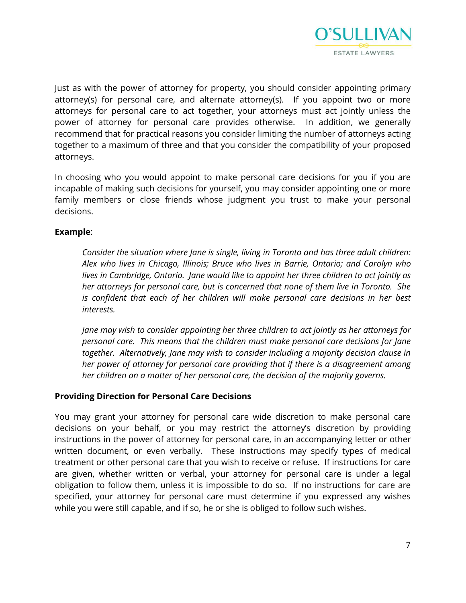

Just as with the power of attorney for property, you should consider appointing primary attorney(s) for personal care, and alternate attorney(s). If you appoint two or more attorneys for personal care to act together, your attorneys must act jointly unless the power of attorney for personal care provides otherwise. In addition, we generally recommend that for practical reasons you consider limiting the number of attorneys acting together to a maximum of three and that you consider the compatibility of your proposed attorneys.

In choosing who you would appoint to make personal care decisions for you if you are incapable of making such decisions for yourself, you may consider appointing one or more family members or close friends whose judgment you trust to make your personal decisions.

#### **Example**:

*Consider the situation where Jane is single, living in Toronto and has three adult children: Alex who lives in Chicago, Illinois; Bruce who lives in Barrie, Ontario; and Carolyn who lives in Cambridge, Ontario. Jane would like to appoint her three children to act jointly as her attorneys for personal care, but is concerned that none of them live in Toronto. She is confident that each of her children will make personal care decisions in her best interests.* 

*Jane may wish to consider appointing her three children to act jointly as her attorneys for personal care. This means that the children must make personal care decisions for Jane together. Alternatively, Jane may wish to consider including a majority decision clause in her power of attorney for personal care providing that if there is a disagreement among her children on a matter of her personal care, the decision of the majority governs.*

#### **Providing Direction for Personal Care Decisions**

You may grant your attorney for personal care wide discretion to make personal care decisions on your behalf, or you may restrict the attorney's discretion by providing instructions in the power of attorney for personal care, in an accompanying letter or other written document, or even verbally. These instructions may specify types of medical treatment or other personal care that you wish to receive or refuse. If instructions for care are given, whether written or verbal, your attorney for personal care is under a legal obligation to follow them, unless it is impossible to do so. If no instructions for care are specified, your attorney for personal care must determine if you expressed any wishes while you were still capable, and if so, he or she is obliged to follow such wishes.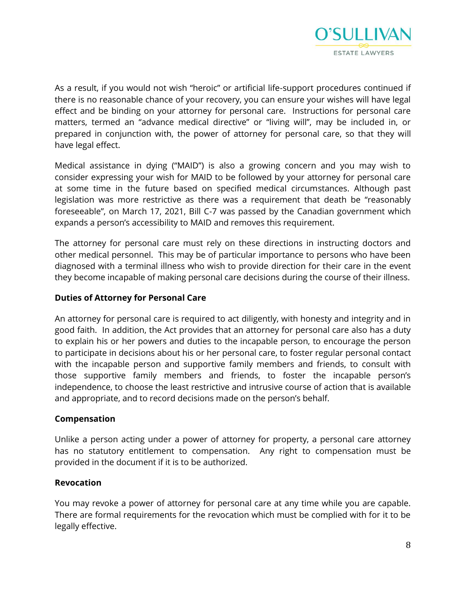

As a result, if you would not wish "heroic" or artificial life-support procedures continued if there is no reasonable chance of your recovery, you can ensure your wishes will have legal effect and be binding on your attorney for personal care. Instructions for personal care matters, termed an "advance medical directive" or "living will", may be included in, or prepared in conjunction with, the power of attorney for personal care, so that they will have legal effect.

Medical assistance in dying ("MAID") is also a growing concern and you may wish to consider expressing your wish for MAID to be followed by your attorney for personal care at some time in the future based on specified medical circumstances. Although past legislation was more restrictive as there was a requirement that death be "reasonably foreseeable", on March 17, 2021, Bill C-7 was passed by the Canadian government which expands a person's accessibility to MAID and removes this requirement.

The attorney for personal care must rely on these directions in instructing doctors and other medical personnel. This may be of particular importance to persons who have been diagnosed with a terminal illness who wish to provide direction for their care in the event they become incapable of making personal care decisions during the course of their illness.

# **Duties of Attorney for Personal Care**

An attorney for personal care is required to act diligently, with honesty and integrity and in good faith. In addition, the Act provides that an attorney for personal care also has a duty to explain his or her powers and duties to the incapable person, to encourage the person to participate in decisions about his or her personal care, to foster regular personal contact with the incapable person and supportive family members and friends, to consult with those supportive family members and friends, to foster the incapable person's independence, to choose the least restrictive and intrusive course of action that is available and appropriate, and to record decisions made on the person's behalf.

# **Compensation**

Unlike a person acting under a power of attorney for property, a personal care attorney has no statutory entitlement to compensation. Any right to compensation must be provided in the document if it is to be authorized.

# **Revocation**

You may revoke a power of attorney for personal care at any time while you are capable. There are formal requirements for the revocation which must be complied with for it to be legally effective.